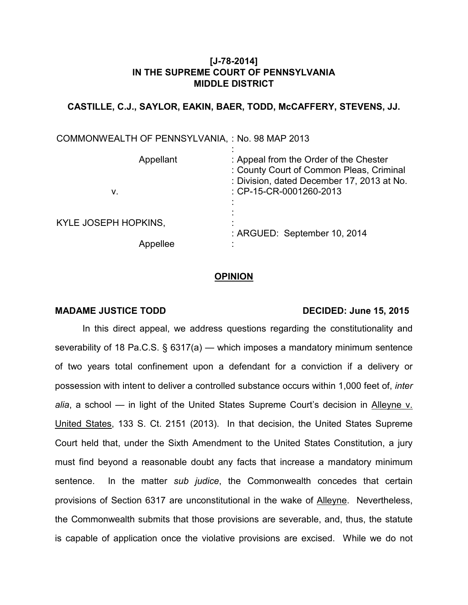# **[J-78-2014] IN THE SUPREME COURT OF PENNSYLVANIA MIDDLE DISTRICT**

## **CASTILLE, C.J., SAYLOR, EAKIN, BAER, TODD, McCAFFERY, STEVENS, JJ.**

| COMMONWEALTH OF PENNSYLVANIA, : No. 98 MAP 2013 |                                                                                                                                  |
|-------------------------------------------------|----------------------------------------------------------------------------------------------------------------------------------|
| Appellant                                       | : Appeal from the Order of the Chester<br>: County Court of Common Pleas, Criminal<br>: Division, dated December 17, 2013 at No. |
| v.                                              | : CP-15-CR-0001260-2013                                                                                                          |
| KYLE JOSEPH HOPKINS,                            | : ARGUED: September 10, 2014                                                                                                     |
| Appellee                                        |                                                                                                                                  |

#### **OPINION**

### MADAME JUSTICE TODD DECIDED: June 15, 2015

In this direct appeal, we address questions regarding the constitutionality and severability of 18 Pa.C.S. § 6317(a) — which imposes a mandatory minimum sentence of two years total confinement upon a defendant for a conviction if a delivery or possession with intent to deliver a controlled substance occurs within 1,000 feet of, *inter alia*, a school — in light of the United States Supreme Court's decision in Alleyne v. United States, 133 S. Ct. 2151 (2013). In that decision, the United States Supreme Court held that, under the Sixth Amendment to the United States Constitution, a jury must find beyond a reasonable doubt any facts that increase a mandatory minimum sentence. In the matter *sub judice*, the Commonwealth concedes that certain provisions of Section 6317 are unconstitutional in the wake of Alleyne. Nevertheless, the Commonwealth submits that those provisions are severable, and, thus, the statute is capable of application once the violative provisions are excised. While we do not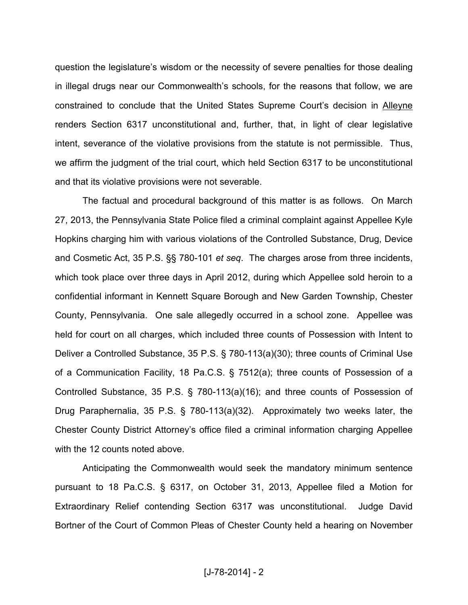question the legislature's wisdom or the necessity of severe penalties for those dealing in illegal drugs near our Commonwealth's schools, for the reasons that follow, we are constrained to conclude that the United States Supreme Court's decision in Alleyne renders Section 6317 unconstitutional and, further, that, in light of clear legislative intent, severance of the violative provisions from the statute is not permissible. Thus, we affirm the judgment of the trial court, which held Section 6317 to be unconstitutional and that its violative provisions were not severable.

The factual and procedural background of this matter is as follows. On March 27, 2013, the Pennsylvania State Police filed a criminal complaint against Appellee Kyle Hopkins charging him with various violations of the Controlled Substance, Drug, Device and Cosmetic Act, 35 P.S. §§ 780-101 *et seq*. The charges arose from three incidents, which took place over three days in April 2012, during which Appellee sold heroin to a confidential informant in Kennett Square Borough and New Garden Township, Chester County, Pennsylvania. One sale allegedly occurred in a school zone. Appellee was held for court on all charges, which included three counts of Possession with Intent to Deliver a Controlled Substance, 35 P.S. § 780-113(a)(30); three counts of Criminal Use of a Communication Facility, 18 Pa.C.S. § 7512(a); three counts of Possession of a Controlled Substance, 35 P.S. § 780-113(a)(16); and three counts of Possession of Drug Paraphernalia, 35 P.S. § 780-113(a)(32). Approximately two weeks later, the Chester County District Attorney's office filed a criminal information charging Appellee with the 12 counts noted above.

Anticipating the Commonwealth would seek the mandatory minimum sentence pursuant to 18 Pa.C.S. § 6317, on October 31, 2013, Appellee filed a Motion for Extraordinary Relief contending Section 6317 was unconstitutional. Judge David Bortner of the Court of Common Pleas of Chester County held a hearing on November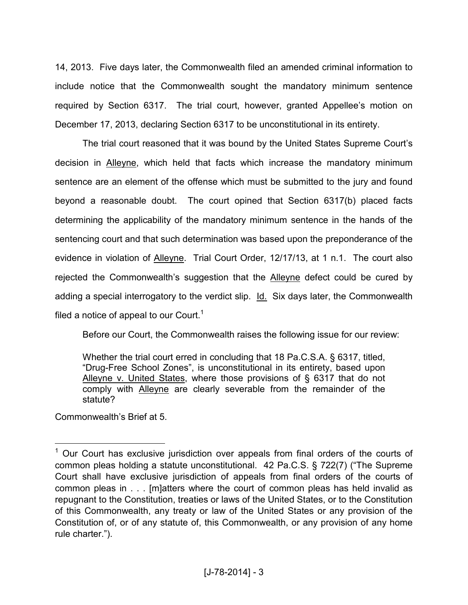14, 2013. Five days later, the Commonwealth filed an amended criminal information to include notice that the Commonwealth sought the mandatory minimum sentence required by Section 6317. The trial court, however, granted Appellee's motion on December 17, 2013, declaring Section 6317 to be unconstitutional in its entirety.

The trial court reasoned that it was bound by the United States Supreme Court's decision in Alleyne, which held that facts which increase the mandatory minimum sentence are an element of the offense which must be submitted to the jury and found beyond a reasonable doubt. The court opined that Section 6317(b) placed facts determining the applicability of the mandatory minimum sentence in the hands of the sentencing court and that such determination was based upon the preponderance of the evidence in violation of Alleyne. Trial Court Order, 12/17/13, at 1 n.1. The court also rejected the Commonwealth's suggestion that the Alleyne defect could be cured by adding a special interrogatory to the verdict slip. Id. Six days later, the Commonwealth filed a notice of appeal to our Court.<sup>1</sup>

Before our Court, the Commonwealth raises the following issue for our review:

Whether the trial court erred in concluding that 18 Pa.C.S.A. § 6317, titled, "Drug-Free School Zones", is unconstitutional in its entirety, based upon Alleyne v. United States, where those provisions of § 6317 that do not comply with Alleyne are clearly severable from the remainder of the statute?

Commonwealth's Brief at 5.

<sup>&</sup>lt;sup>1</sup> Our Court has exclusive jurisdiction over appeals from final orders of the courts of common pleas holding a statute unconstitutional. 42 Pa.C.S. § 722(7) ("The Supreme Court shall have exclusive jurisdiction of appeals from final orders of the courts of common pleas in . . . [m]atters where the court of common pleas has held invalid as repugnant to the Constitution, treaties or laws of the United States, or to the Constitution of this Commonwealth, any treaty or law of the United States or any provision of the Constitution of, or of any statute of, this Commonwealth, or any provision of any home rule charter.").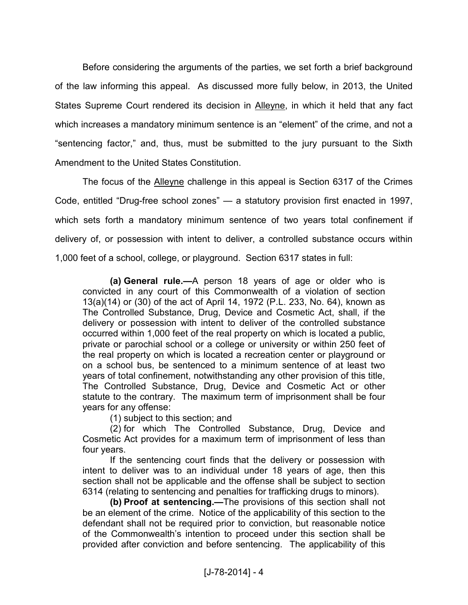Before considering the arguments of the parties, we set forth a brief background of the law informing this appeal. As discussed more fully below, in 2013, the United States Supreme Court rendered its decision in Alleyne, in which it held that any fact which increases a mandatory minimum sentence is an "element" of the crime, and not a "sentencing factor," and, thus, must be submitted to the jury pursuant to the Sixth Amendment to the United States Constitution.

The focus of the Alleyne challenge in this appeal is Section 6317 of the Crimes Code, entitled "Drug-free school zones" — a statutory provision first enacted in 1997, which sets forth a mandatory minimum sentence of two years total confinement if delivery of, or possession with intent to deliver, a controlled substance occurs within 1,000 feet of a school, college, or playground. Section 6317 states in full:

**(a) General rule.—**A person 18 years of age or older who is convicted in any court of this Commonwealth of a violation of section 13(a)(14) or (30) of the act of April 14, 1972 (P.L. 233, No. 64), known as The Controlled Substance, Drug, Device and Cosmetic Act, shall, if the delivery or possession with intent to deliver of the controlled substance occurred within 1,000 feet of the real property on which is located a public, private or parochial school or a college or university or within 250 feet of the real property on which is located a recreation center or playground or on a school bus, be sentenced to a minimum sentence of at least two years of total confinement, notwithstanding any other provision of this title, The Controlled Substance, Drug, Device and Cosmetic Act or other statute to the contrary. The maximum term of imprisonment shall be four years for any offense:

(1) subject to this section; and

(2) for which The Controlled Substance, Drug, Device and Cosmetic Act provides for a maximum term of imprisonment of less than four years.

If the sentencing court finds that the delivery or possession with intent to deliver was to an individual under 18 years of age, then this section shall not be applicable and the offense shall be subject to section 6314 (relating to sentencing and penalties for trafficking drugs to minors).

**(b) Proof at sentencing.—**The provisions of this section shall not be an element of the crime. Notice of the applicability of this section to the defendant shall not be required prior to conviction, but reasonable notice of the Commonwealth's intention to proceed under this section shall be provided after conviction and before sentencing. The applicability of this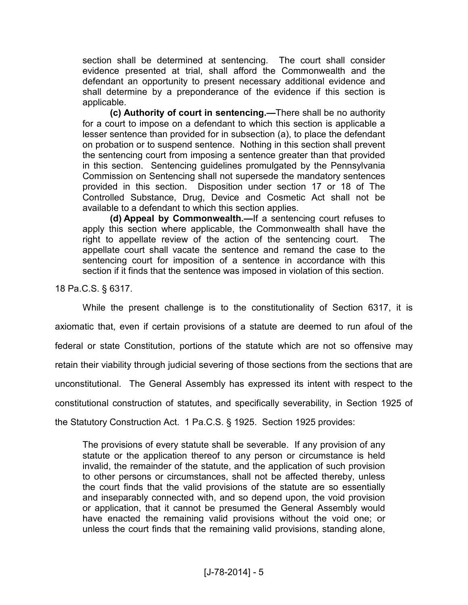section shall be determined at sentencing. The court shall consider evidence presented at trial, shall afford the Commonwealth and the defendant an opportunity to present necessary additional evidence and shall determine by a preponderance of the evidence if this section is applicable.

**(c) Authority of court in sentencing.—**There shall be no authority for a court to impose on a defendant to which this section is applicable a lesser sentence than provided for in subsection (a), to place the defendant on probation or to suspend sentence. Nothing in this section shall prevent the sentencing court from imposing a sentence greater than that provided in this section. Sentencing guidelines promulgated by the Pennsylvania Commission on Sentencing shall not supersede the mandatory sentences provided in this section. Disposition under section 17 or 18 of The Controlled Substance, Drug, Device and Cosmetic Act shall not be available to a defendant to which this section applies.

**(d) Appeal by Commonwealth.—**If a sentencing court refuses to apply this section where applicable, the Commonwealth shall have the right to appellate review of the action of the sentencing court. The appellate court shall vacate the sentence and remand the case to the sentencing court for imposition of a sentence in accordance with this section if it finds that the sentence was imposed in violation of this section.

18 Pa.C.S. § 6317.

While the present challenge is to the constitutionality of Section 6317, it is axiomatic that, even if certain provisions of a statute are deemed to run afoul of the federal or state Constitution, portions of the statute which are not so offensive may retain their viability through judicial severing of those sections from the sections that are unconstitutional. The General Assembly has expressed its intent with respect to the constitutional construction of statutes, and specifically severability, in Section 1925 of the Statutory Construction Act. 1 Pa.C.S. § 1925. Section 1925 provides:

The provisions of every statute shall be severable. If any provision of any statute or the application thereof to any person or circumstance is held invalid, the remainder of the statute, and the application of such provision to other persons or circumstances, shall not be affected thereby, unless the court finds that the valid provisions of the statute are so essentially and inseparably connected with, and so depend upon, the void provision or application, that it cannot be presumed the General Assembly would have enacted the remaining valid provisions without the void one; or unless the court finds that the remaining valid provisions, standing alone,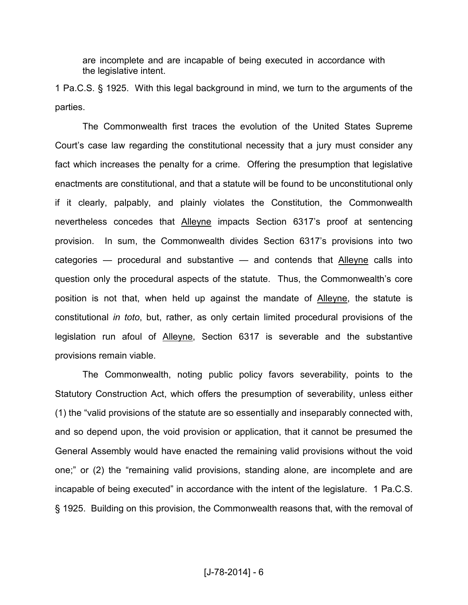are incomplete and are incapable of being executed in accordance with the legislative intent.

1 Pa.C.S. § 1925. With this legal background in mind, we turn to the arguments of the parties.

The Commonwealth first traces the evolution of the United States Supreme Court's case law regarding the constitutional necessity that a jury must consider any fact which increases the penalty for a crime. Offering the presumption that legislative enactments are constitutional, and that a statute will be found to be unconstitutional only if it clearly, palpably, and plainly violates the Constitution, the Commonwealth nevertheless concedes that Alleyne impacts Section 6317's proof at sentencing provision. In sum, the Commonwealth divides Section 6317's provisions into two categories  $-$  procedural and substantive  $-$  and contends that Alleyne calls into question only the procedural aspects of the statute. Thus, the Commonwealth's core position is not that, when held up against the mandate of Alleyne, the statute is constitutional *in toto*, but, rather, as only certain limited procedural provisions of the legislation run afoul of Alleyne, Section 6317 is severable and the substantive provisions remain viable.

The Commonwealth, noting public policy favors severability, points to the Statutory Construction Act, which offers the presumption of severability, unless either (1) the "valid provisions of the statute are so essentially and inseparably connected with, and so depend upon, the void provision or application, that it cannot be presumed the General Assembly would have enacted the remaining valid provisions without the void one;" or (2) the "remaining valid provisions, standing alone, are incomplete and are incapable of being executed" in accordance with the intent of the legislature. 1 Pa.C.S. § 1925. Building on this provision, the Commonwealth reasons that, with the removal of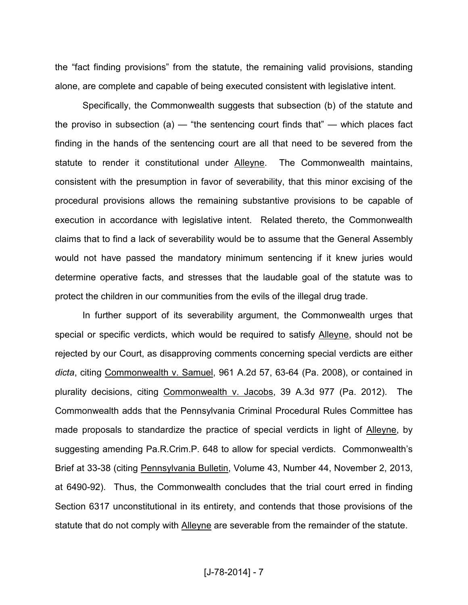the "fact finding provisions" from the statute, the remaining valid provisions, standing alone, are complete and capable of being executed consistent with legislative intent.

Specifically, the Commonwealth suggests that subsection (b) of the statute and the proviso in subsection (a)  $-$  "the sentencing court finds that"  $-$  which places fact finding in the hands of the sentencing court are all that need to be severed from the statute to render it constitutional under Alleyne. The Commonwealth maintains, consistent with the presumption in favor of severability, that this minor excising of the procedural provisions allows the remaining substantive provisions to be capable of execution in accordance with legislative intent. Related thereto, the Commonwealth claims that to find a lack of severability would be to assume that the General Assembly would not have passed the mandatory minimum sentencing if it knew juries would determine operative facts, and stresses that the laudable goal of the statute was to protect the children in our communities from the evils of the illegal drug trade.

In further support of its severability argument, the Commonwealth urges that special or specific verdicts, which would be required to satisfy Alleyne, should not be rejected by our Court, as disapproving comments concerning special verdicts are either *dicta*, citing Commonwealth v. Samuel, 961 A.2d 57, 63-64 (Pa. 2008), or contained in plurality decisions, citing Commonwealth v. Jacobs, 39 A.3d 977 (Pa. 2012). The Commonwealth adds that the Pennsylvania Criminal Procedural Rules Committee has made proposals to standardize the practice of special verdicts in light of Alleyne, by suggesting amending Pa.R.Crim.P. 648 to allow for special verdicts. Commonwealth's Brief at 33-38 (citing Pennsylvania Bulletin, Volume 43, Number 44, November 2, 2013, at 6490-92). Thus, the Commonwealth concludes that the trial court erred in finding Section 6317 unconstitutional in its entirety, and contends that those provisions of the statute that do not comply with Alleyne are severable from the remainder of the statute.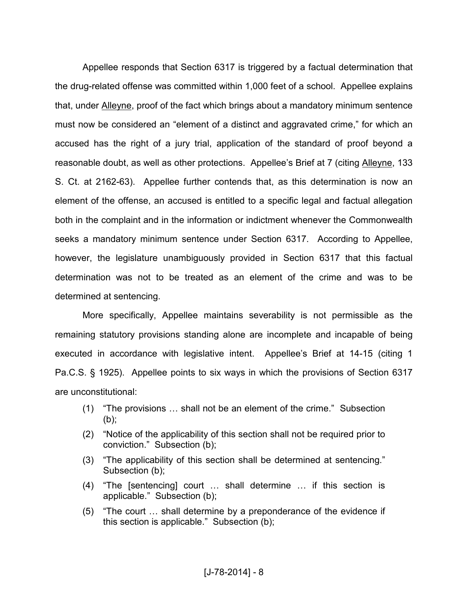Appellee responds that Section 6317 is triggered by a factual determination that the drug-related offense was committed within 1,000 feet of a school. Appellee explains that, under Alleyne, proof of the fact which brings about a mandatory minimum sentence must now be considered an "element of a distinct and aggravated crime," for which an accused has the right of a jury trial, application of the standard of proof beyond a reasonable doubt, as well as other protections. Appellee's Brief at 7 (citing Alleyne, 133 S. Ct. at 2162-63). Appellee further contends that, as this determination is now an element of the offense, an accused is entitled to a specific legal and factual allegation both in the complaint and in the information or indictment whenever the Commonwealth seeks a mandatory minimum sentence under Section 6317. According to Appellee, however, the legislature unambiguously provided in Section 6317 that this factual determination was not to be treated as an element of the crime and was to be determined at sentencing.

More specifically, Appellee maintains severability is not permissible as the remaining statutory provisions standing alone are incomplete and incapable of being executed in accordance with legislative intent. Appellee's Brief at 14-15 (citing 1 Pa.C.S. § 1925). Appellee points to six ways in which the provisions of Section 6317 are unconstitutional:

- $(1)$  "The provisions ... shall not be an element of the crime." Subsection (b);
- (2) "Notice of the applicability of this section shall not be required prior to conviction." Subsection (b);
- (3) "The applicability of this section shall be determined at sentencing." Subsection (b);
- $(4)$  "The [sentencing] court ... shall determine ... if this section is applicable." Subsection (b);
- $(5)$  "The court  $\ldots$  shall determine by a preponderance of the evidence if this section is applicable." Subsection (b);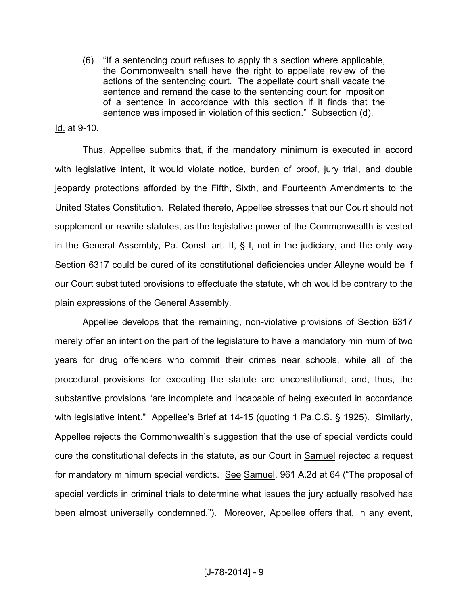(6) "If a sentencing court refuses to apply this section where applicable, the Commonwealth shall have the right to appellate review of the actions of the sentencing court. The appellate court shall vacate the sentence and remand the case to the sentencing court for imposition of a sentence in accordance with this section if it finds that the sentence was imposed in violation of this section." Subsection (d).

## Id. at 9-10.

Thus, Appellee submits that, if the mandatory minimum is executed in accord with legislative intent, it would violate notice, burden of proof, jury trial, and double jeopardy protections afforded by the Fifth, Sixth, and Fourteenth Amendments to the United States Constitution. Related thereto, Appellee stresses that our Court should not supplement or rewrite statutes, as the legislative power of the Commonwealth is vested in the General Assembly, Pa. Const. art. II, § I, not in the judiciary, and the only way Section 6317 could be cured of its constitutional deficiencies under Alleyne would be if our Court substituted provisions to effectuate the statute, which would be contrary to the plain expressions of the General Assembly.

Appellee develops that the remaining, non-violative provisions of Section 6317 merely offer an intent on the part of the legislature to have a mandatory minimum of two years for drug offenders who commit their crimes near schools, while all of the procedural provisions for executing the statute are unconstitutional, and, thus, the substantive provisions "are incomplete and incapable of being executed in accordance with legislative intent." Appellee's Brief at 14-15 (quoting 1 Pa.C.S. § 1925). Similarly, Appellee rejects the Commonwealth's suggestion that the use of special verdicts could cure the constitutional defects in the statute, as our Court in Samuel rejected a request for mandatory minimum special verdicts. See Samuel, 961 A.2d at 64 ("The proposal of special verdicts in criminal trials to determine what issues the jury actually resolved has been almost universally condemned."). Moreover, Appellee offers that, in any event,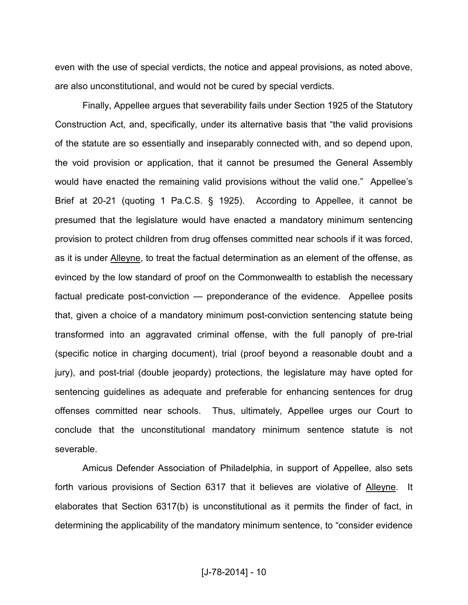even with the use of special verdicts, the notice and appeal provisions, as noted above, are also unconstitutional, and would not be cured by special verdicts.

Finally, Appellee argues that severability fails under Section 1925 of the Statutory Construction Act, and, specifically, under its alternative basis that "the valid provisions of the statute are so essentially and inseparably connected with, and so depend upon, the void provision or application, that it cannot be presumed the General Assembly would have enacted the remaining valid provisions without the valid one." Appellee's Brief at 20-21 (quoting 1 Pa.C.S. § 1925). According to Appellee, it cannot be presumed that the legislature would have enacted a mandatory minimum sentencing provision to protect children from drug offenses committed near schools if it was forced, as it is under Alleyne, to treat the factual determination as an element of the offense, as evinced by the low standard of proof on the Commonwealth to establish the necessary factual predicate post-conviction — preponderance of the evidence. Appellee posits that, given a choice of a mandatory minimum post-conviction sentencing statute being transformed into an aggravated criminal offense, with the full panoply of pre-trial (specific notice in charging document), trial (proof beyond a reasonable doubt and a jury), and post-trial (double jeopardy) protections, the legislature may have opted for sentencing guidelines as adequate and preferable for enhancing sentences for drug offenses committed near schools. Thus, ultimately, Appellee urges our Court to conclude that the unconstitutional mandatory minimum sentence statute is not severable.

Amicus Defender Association of Philadelphia, in support of Appellee, also sets forth various provisions of Section 6317 that it believes are violative of Alleyne. It elaborates that Section 6317(b) is unconstitutional as it permits the finder of fact, in determining the applicability of the mandatory minimum sentence, to "consider evidence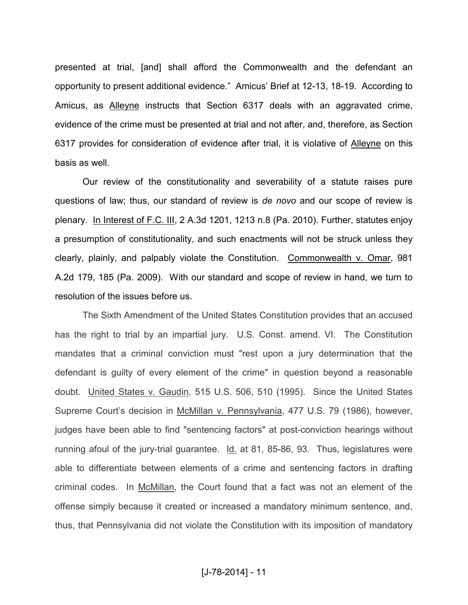presented at trial, [and] shall afford the Commonwealth and the defendant an opportunity to present additional evidence." Amicus' Brief at 12-13, 18-19. According to Amicus, as Alleyne instructs that Section 6317 deals with an aggravated crime, evidence of the crime must be presented at trial and not after, and, therefore, as Section 6317 provides for consideration of evidence after trial, it is violative of Alleyne on this basis as well.

Our review of the constitutionality and severability of a statute raises pure questions of law; thus, our standard of review is *de novo* and our scope of review is plenary. In Interest of F.C. III, 2 A.3d 1201, 1213 n.8 (Pa. 2010). Further, statutes enjoy a presumption of constitutionality, and such enactments will not be struck unless they clearly, plainly, and palpably violate the Constitution. Commonwealth v. Omar, 981 A.2d 179, 185 (Pa. 2009). With our standard and scope of review in hand, we turn to resolution of the issues before us.

The Sixth Amendment of the United States Constitution provides that an accused has the right to trial by an impartial jury. U.S. Const. amend. VI. The Constitution mandates that a criminal conviction must "rest upon a jury determination that the defendant is guilty of every element of the crime" in question beyond a reasonable doubt. United States v. Gaudin, 515 U.S. 506, 510 (1995). Since the United States Supreme Court's decision in McMillan v. Pennsylvania, 477 U.S. 79 (1986), however, judges have been able to find "sentencing factors" at post-conviction hearings without running afoul of the jury-trial guarantee. Id. at 81, 85-86, 93. Thus, legislatures were able to differentiate between elements of a crime and sentencing factors in drafting criminal codes. In McMillan, the Court found that a fact was not an element of the offense simply because it created or increased a mandatory minimum sentence, and, thus, that Pennsylvania did not violate the Constitution with its imposition of mandatory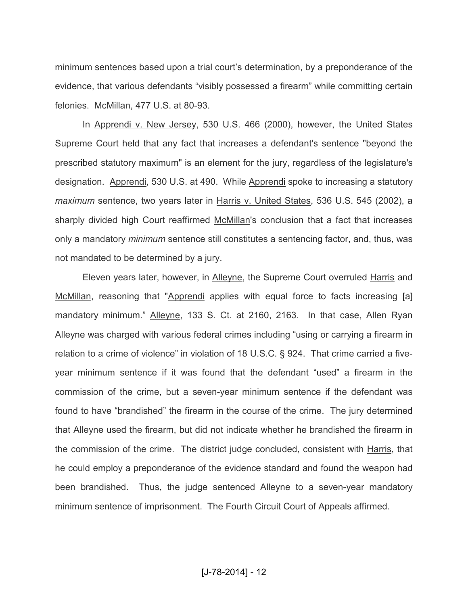minimum sentences based upon a trial court's determination, by a preponderance of the evidence, that various defendants "visibly possessed a firearm" while committing certain felonies. McMillan, 477 U.S. at 80-93.

In Apprendi v. New Jersey, 530 U.S. 466 (2000), however, the United States Supreme Court held that any fact that increases a defendant's sentence "beyond the prescribed statutory maximum" is an element for the jury, regardless of the legislature's designation. Apprendi, 530 U.S. at 490. While Apprendi spoke to increasing a statutory *maximum* sentence, two years later in Harris v. United States, 536 U.S. 545 (2002), a sharply divided high Court reaffirmed McMillan's conclusion that a fact that increases only a mandatory *minimum* sentence still constitutes a sentencing factor, and, thus, was not mandated to be determined by a jury.

Eleven years later, however, in Alleyne, the Supreme Court overruled Harris and McMillan, reasoning that "Apprendi applies with equal force to facts increasing [a] mandatory minimum." Alleyne, 133 S. Ct. at 2160, 2163. In that case, Allen Ryan Alleyne was charged with various federal crimes including "using or carrying a firearm in relation to a crime of violence" in violation of 18 U.S.C. § 924. That crime carried a fiveyear minimum sentence if it was found that the defendant "used" a firearm in the commission of the crime, but a seven-year minimum sentence if the defendant was found to have "brandished" the firearm in the course of the crime. The jury determined that Alleyne used the firearm, but did not indicate whether he brandished the firearm in the commission of the crime. The district judge concluded, consistent with Harris, that he could employ a preponderance of the evidence standard and found the weapon had been brandished. Thus, the judge sentenced Alleyne to a seven-year mandatory minimum sentence of imprisonment. The Fourth Circuit Court of Appeals affirmed.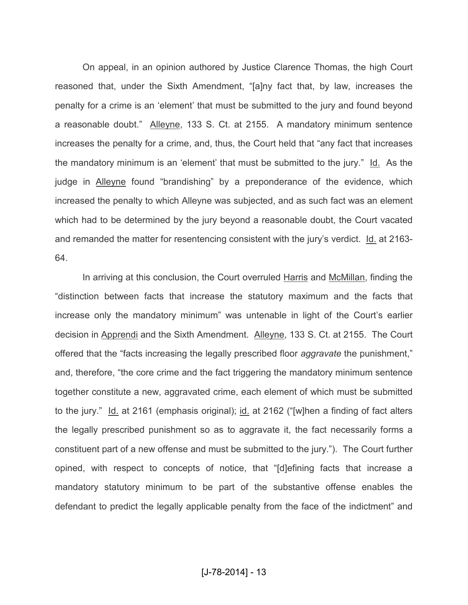On appeal, in an opinion authored by Justice Clarence Thomas, the high Court reasoned that, under the Sixth Amendment, "[a]ny fact that, by law, increases the penalty for a crime is an 'element' that must be submitted to the jury and found beyond a reasonable doubt." Alleyne, 133 S. Ct. at 2155. A mandatory minimum sentence increases the penalty for a crime, and, thus, the Court held that "any fact that increases the mandatory minimum is an 'element' that must be submitted to the jury." Id. As the judge in Alleyne found "brandishing" by a preponderance of the evidence, which increased the penalty to which Alleyne was subjected, and as such fact was an element which had to be determined by the jury beyond a reasonable doubt, the Court vacated and remanded the matter for resentencing consistent with the jury's verdict. Id. at 2163- 64.

In arriving at this conclusion, the Court overruled Harris and McMillan, finding the "distinction between facts that increase the statutory maximum and the facts that increase only the mandatory minimum" was untenable in light of the Court's earlier decision in Apprendi and the Sixth Amendment. Alleyne, 133 S. Ct. at 2155. The Court offered that the "facts increasing the legally prescribed floor *aggravate* the punishment," and, therefore, "the core crime and the fact triggering the mandatory minimum sentence together constitute a new, aggravated crime, each element of which must be submitted to the jury." Id. at 2161 (emphasis original); id. at 2162 ("[w]hen a finding of fact alters the legally prescribed punishment so as to aggravate it, the fact necessarily forms a constituent part of a new offense and must be submitted to the jury."). The Court further opined, with respect to concepts of notice, that "[d]efining facts that increase a mandatory statutory minimum to be part of the substantive offense enables the defendant to predict the legally applicable penalty from the face of the indictment" and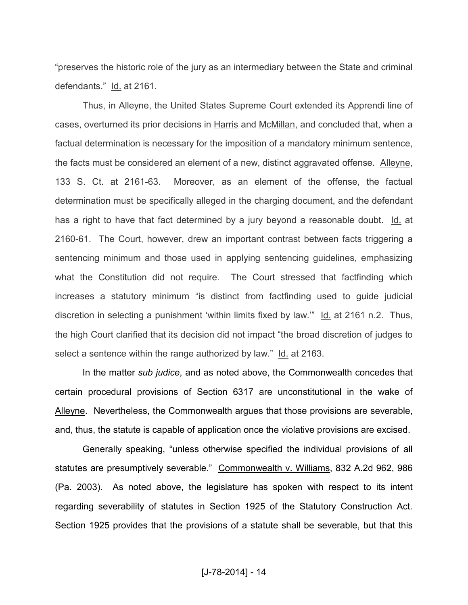"preserves the historic role of the jury as an intermediary between the State and criminal defendants." Id. at 2161.

Thus, in Alleyne, the United States Supreme Court extended its Apprendi line of cases, overturned its prior decisions in Harris and McMillan, and concluded that, when a factual determination is necessary for the imposition of a mandatory minimum sentence, the facts must be considered an element of a new, distinct aggravated offense. Alleyne, 133 S. Ct. at 2161-63. Moreover, as an element of the offense, the factual determination must be specifically alleged in the charging document, and the defendant has a right to have that fact determined by a jury beyond a reasonable doubt. Id. at 2160-61. The Court, however, drew an important contrast between facts triggering a sentencing minimum and those used in applying sentencing guidelines, emphasizing what the Constitution did not require. The Court stressed that factfinding which increases a statutory minimum "is distinct from factfinding used to guide judicial discretion in selecting a punishment 'within limits fixed by law.'" Id. at 2161 n.2. Thus, the high Court clarified that its decision did not impact "the broad discretion of judges to select a sentence within the range authorized by law." Id. at 2163.

In the matter *sub judice*, and as noted above, the Commonwealth concedes that certain procedural provisions of Section 6317 are unconstitutional in the wake of Alleyne. Nevertheless, the Commonwealth argues that those provisions are severable, and, thus, the statute is capable of application once the violative provisions are excised.

Generally speaking, "unless otherwise specified the individual provisions of all statutes are presumptively severable." Commonwealth v. Williams, 832 A.2d 962, 986 (Pa. 2003). As noted above, the legislature has spoken with respect to its intent regarding severability of statutes in Section 1925 of the Statutory Construction Act. Section 1925 provides that the provisions of a statute shall be severable, but that this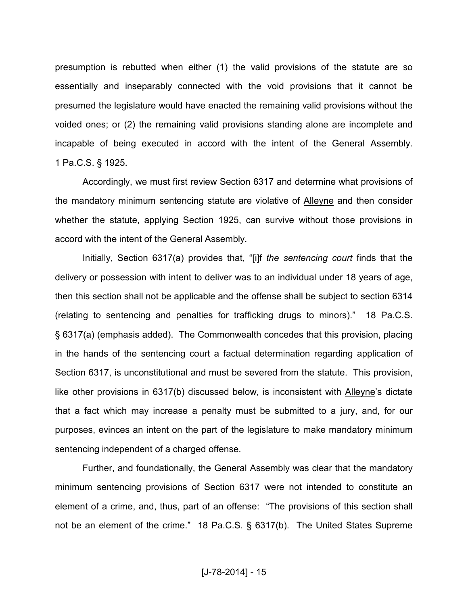presumption is rebutted when either (1) the valid provisions of the statute are so essentially and inseparably connected with the void provisions that it cannot be presumed the legislature would have enacted the remaining valid provisions without the voided ones; or (2) the remaining valid provisions standing alone are incomplete and incapable of being executed in accord with the intent of the General Assembly. 1 Pa.C.S. § 1925.

Accordingly, we must first review Section 6317 and determine what provisions of the mandatory minimum sentencing statute are violative of Alleyne and then consider whether the statute, applying Section 1925, can survive without those provisions in accord with the intent of the General Assembly.

Initially, Section 6317(a) provides that, "[i]f *the sentencing court* finds that the delivery or possession with intent to deliver was to an individual under 18 years of age, then this section shall not be applicable and the offense shall be subject to section 6314 (relating to sentencing and penalties for trafficking drugs to minors)." 18 Pa.C.S. § 6317(a) (emphasis added). The Commonwealth concedes that this provision, placing in the hands of the sentencing court a factual determination regarding application of Section 6317, is unconstitutional and must be severed from the statute. This provision, like other provisions in 6317(b) discussed below, is inconsistent with Alleyne's dictate that a fact which may increase a penalty must be submitted to a jury, and, for our purposes, evinces an intent on the part of the legislature to make mandatory minimum sentencing independent of a charged offense.

Further, and foundationally, the General Assembly was clear that the mandatory minimum sentencing provisions of Section 6317 were not intended to constitute an element of a crime, and, thus, part of an offense: "The provisions of this section shall not be an element of the crime." 18 Pa.C.S. § 6317(b). The United States Supreme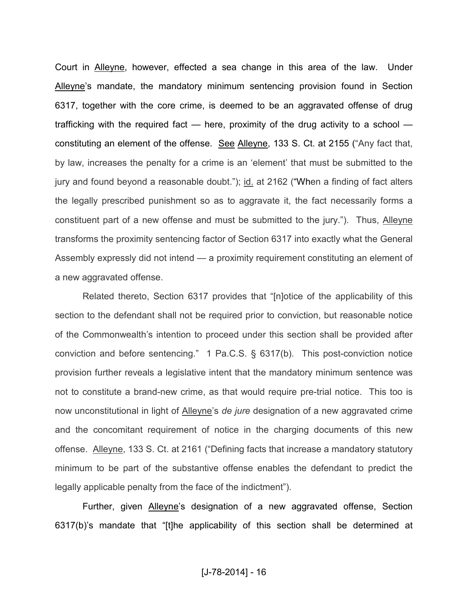Court in Alleyne, however, effected a sea change in this area of the law. Under Alleyne's mandate, the mandatory minimum sentencing provision found in Section 6317, together with the core crime, is deemed to be an aggravated offense of drug trafficking with the required fact — here, proximity of the drug activity to a school constituting an element of the offense. See Alleyne, 133 S. Ct. at 2155 ("Any fact that, by law, increases the penalty for a crime is an 'element' that must be submitted to the jury and found beyond a reasonable doubt."); id. at 2162 ("When a finding of fact alters the legally prescribed punishment so as to aggravate it, the fact necessarily forms a constituent part of a new offense and must be submitted to the jury."). Thus, Alleyne transforms the proximity sentencing factor of Section 6317 into exactly what the General Assembly expressly did not intend — a proximity requirement constituting an element of a new aggravated offense.

Related thereto, Section 6317 provides that "[n]otice of the applicability of this section to the defendant shall not be required prior to conviction, but reasonable notice of the Commonwealth's intention to proceed under this section shall be provided after conviction and before sentencing." 1 Pa.C.S. § 6317(b). This post-conviction notice provision further reveals a legislative intent that the mandatory minimum sentence was not to constitute a brand-new crime, as that would require pre-trial notice. This too is now unconstitutional in light of Alleyne's *de jure* designation of a new aggravated crime and the concomitant requirement of notice in the charging documents of this new offense. Alleyne, 133 S. Ct. at 2161 ("Defining facts that increase a mandatory statutory minimum to be part of the substantive offense enables the defendant to predict the legally applicable penalty from the face of the indictment").

Further, given Alleyne's designation of a new aggravated offense, Section 6317(b)'s mandate that "[t]he applicability of this section shall be determined at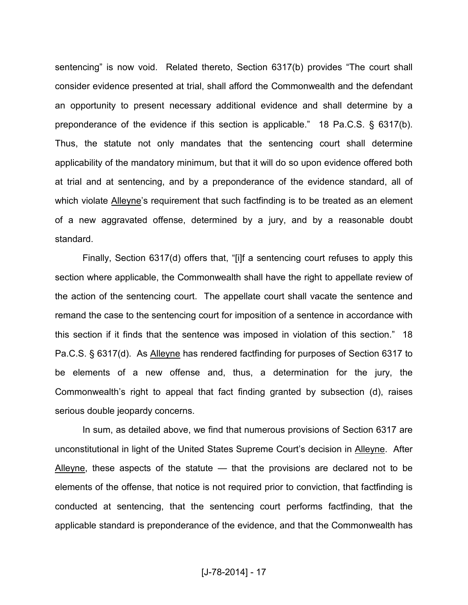sentencing" is now void. Related thereto, Section 6317(b) provides "The court shall consider evidence presented at trial, shall afford the Commonwealth and the defendant an opportunity to present necessary additional evidence and shall determine by a preponderance of the evidence if this section is applicable." 18 Pa.C.S. § 6317(b). Thus, the statute not only mandates that the sentencing court shall determine applicability of the mandatory minimum, but that it will do so upon evidence offered both at trial and at sentencing, and by a preponderance of the evidence standard, all of which violate **Alleyne's requirement that such factfinding is to be treated as an element** of a new aggravated offense, determined by a jury, and by a reasonable doubt standard.

Finally, Section 6317(d) offers that, "[i]f a sentencing court refuses to apply this section where applicable, the Commonwealth shall have the right to appellate review of the action of the sentencing court. The appellate court shall vacate the sentence and remand the case to the sentencing court for imposition of a sentence in accordance with this section if it finds that the sentence was imposed in violation of this section." 18 Pa.C.S. § 6317(d). As Alleyne has rendered factfinding for purposes of Section 6317 to be elements of a new offense and, thus, a determination for the jury, the Commonwealth's right to appeal that fact finding granted by subsection (d), raises serious double jeopardy concerns.

In sum, as detailed above, we find that numerous provisions of Section 6317 are unconstitutional in light of the United States Supreme Court's decision in Alleyne. After Alleyne, these aspects of the statute - that the provisions are declared not to be elements of the offense, that notice is not required prior to conviction, that factfinding is conducted at sentencing, that the sentencing court performs factfinding, that the applicable standard is preponderance of the evidence, and that the Commonwealth has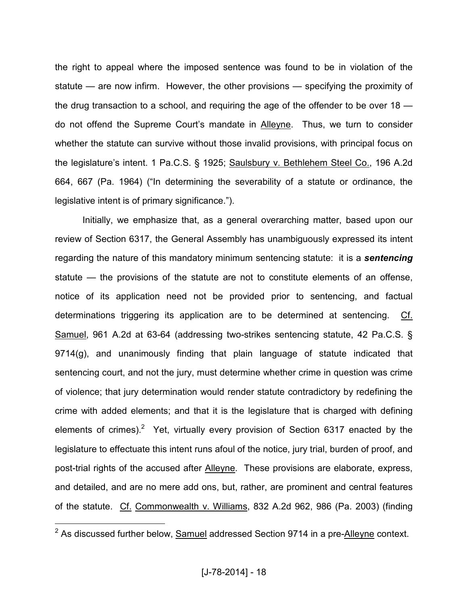the right to appeal where the imposed sentence was found to be in violation of the statute — are now infirm. However, the other provisions — specifying the proximity of the drug transaction to a school, and requiring the age of the offender to be over 18 do not offend the Supreme Court's mandate in Alleyne. Thus, we turn to consider whether the statute can survive without those invalid provisions, with principal focus on the legislature's intent. 1 Pa.C.S. § 1925; Saulsbury v. Bethlehem Steel Co., 196 A.2d 664, 667 (Pa. 1964) ("In determining the severability of a statute or ordinance, the legislative intent is of primary significance.").

Initially, we emphasize that, as a general overarching matter, based upon our review of Section 6317, the General Assembly has unambiguously expressed its intent regarding the nature of this mandatory minimum sentencing statute: it is a *sentencing*  statute — the provisions of the statute are not to constitute elements of an offense, notice of its application need not be provided prior to sentencing, and factual determinations triggering its application are to be determined at sentencing. Cf. Samuel, 961 A.2d at 63-64 (addressing two-strikes sentencing statute, 42 Pa.C.S. § 9714(g), and unanimously finding that plain language of statute indicated that sentencing court, and not the jury, must determine whether crime in question was crime of violence; that jury determination would render statute contradictory by redefining the crime with added elements; and that it is the legislature that is charged with defining elements of crimes).<sup>2</sup> Yet, virtually every provision of Section 6317 enacted by the legislature to effectuate this intent runs afoul of the notice, jury trial, burden of proof, and post-trial rights of the accused after Alleyne. These provisions are elaborate, express, and detailed, and are no mere add ons, but, rather, are prominent and central features of the statute. Cf. Commonwealth v. Williams, 832 A.2d 962, 986 (Pa. 2003) (finding

 $^2$  As discussed further below,  $\underline{\text{Sample}}$  addressed Section 9714 in a pre- $\underline{\text{Alleyne}}$  context.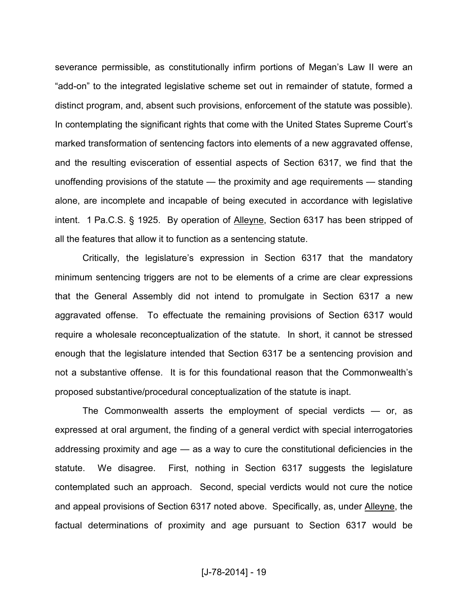severance permissible, as constitutionally infirm portions of Megan's Law II were an "add-on" to the integrated legislative scheme set out in remainder of statute, formed a distinct program, and, absent such provisions, enforcement of the statute was possible). In contemplating the significant rights that come with the United States Supreme Court's marked transformation of sentencing factors into elements of a new aggravated offense, and the resulting evisceration of essential aspects of Section 6317, we find that the unoffending provisions of the statute — the proximity and age requirements — standing alone, are incomplete and incapable of being executed in accordance with legislative intent. 1 Pa.C.S. § 1925. By operation of Alleyne, Section 6317 has been stripped of all the features that allow it to function as a sentencing statute.

Critically, the legislature's expression in Section 6317 that the mandatory minimum sentencing triggers are not to be elements of a crime are clear expressions that the General Assembly did not intend to promulgate in Section 6317 a new aggravated offense. To effectuate the remaining provisions of Section 6317 would require a wholesale reconceptualization of the statute. In short, it cannot be stressed enough that the legislature intended that Section 6317 be a sentencing provision and not a substantive offense. It is for this foundational reason that the Commonwealth's proposed substantive/procedural conceptualization of the statute is inapt.

The Commonwealth asserts the employment of special verdicts — or, as expressed at oral argument, the finding of a general verdict with special interrogatories addressing proximity and age — as a way to cure the constitutional deficiencies in the statute. We disagree. First, nothing in Section 6317 suggests the legislature contemplated such an approach. Second, special verdicts would not cure the notice and appeal provisions of Section 6317 noted above. Specifically, as, under Alleyne, the factual determinations of proximity and age pursuant to Section 6317 would be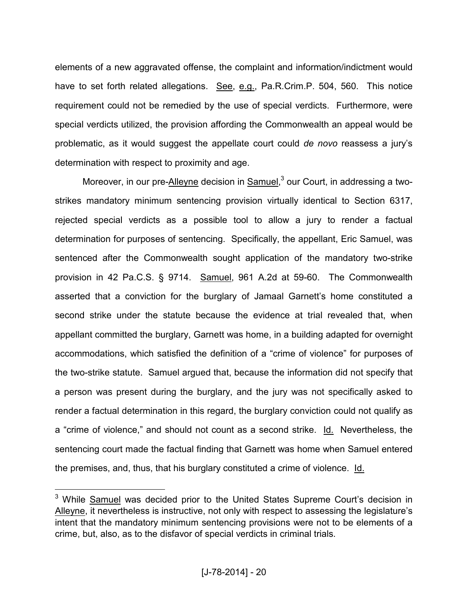elements of a new aggravated offense, the complaint and information/indictment would have to set forth related allegations. See, e.g., Pa.R.Crim.P. 504, 560. This notice requirement could not be remedied by the use of special verdicts. Furthermore, were special verdicts utilized, the provision affording the Commonwealth an appeal would be problematic, as it would suggest the appellate court could *de novo* reassess a jury's determination with respect to proximity and age.

Moreover, in our pre-Alleyne decision in Samuel,<sup>3</sup> our Court, in addressing a twostrikes mandatory minimum sentencing provision virtually identical to Section 6317, rejected special verdicts as a possible tool to allow a jury to render a factual determination for purposes of sentencing. Specifically, the appellant, Eric Samuel, was sentenced after the Commonwealth sought application of the mandatory two-strike provision in 42 Pa.C.S. § 9714. Samuel, 961 A.2d at 59-60. The Commonwealth asserted that a conviction for the burglary of Jamaal Garnett's home constituted a second strike under the statute because the evidence at trial revealed that, when appellant committed the burglary, Garnett was home, in a building adapted for overnight accommodations, which satisfied the definition of a "crime of violence" for purposes of the two-strike statute. Samuel argued that, because the information did not specify that a person was present during the burglary, and the jury was not specifically asked to render a factual determination in this regard, the burglary conviction could not qualify as a "crime of violence," and should not count as a second strike. Id. Nevertheless, the sentencing court made the factual finding that Garnett was home when Samuel entered the premises, and, thus, that his burglary constituted a crime of violence. Id.

<sup>&</sup>lt;sup>3</sup> While Samuel was decided prior to the United States Supreme Court's decision in Alleyne, it nevertheless is instructive, not only with respect to assessing the legislature's intent that the mandatory minimum sentencing provisions were not to be elements of a crime, but, also, as to the disfavor of special verdicts in criminal trials.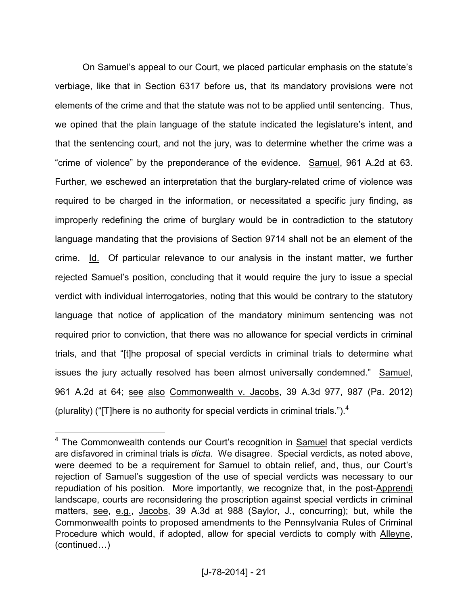On Samuel's appeal to our Court, we placed particular emphasis on the statute's verbiage, like that in Section 6317 before us, that its mandatory provisions were not elements of the crime and that the statute was not to be applied until sentencing. Thus, we opined that the plain language of the statute indicated the legislature's intent, and that the sentencing court, and not the jury, was to determine whether the crime was a "crime of violence" by the preponderance of the evidence. Samuel, 961 A.2d at 63. Further, we eschewed an interpretation that the burglary-related crime of violence was required to be charged in the information, or necessitated a specific jury finding, as improperly redefining the crime of burglary would be in contradiction to the statutory language mandating that the provisions of Section 9714 shall not be an element of the crime. Id. Of particular relevance to our analysis in the instant matter, we further rejected Samuel's position, concluding that it would require the jury to issue a special verdict with individual interrogatories, noting that this would be contrary to the statutory language that notice of application of the mandatory minimum sentencing was not required prior to conviction, that there was no allowance for special verdicts in criminal trials, and that "[t]he proposal of special verdicts in criminal trials to determine what issues the jury actually resolved has been almost universally condemned." Samuel, 961 A.2d at 64; see also Commonwealth v. Jacobs, 39 A.3d 977, 987 (Pa. 2012) (plurality) ("[T]here is no authority for special verdicts in criminal trials.").<sup>4</sup>

<sup>&</sup>lt;sup>4</sup> The Commonwealth contends our Court's recognition in **Samuel** that special verdicts are disfavored in criminal trials is *dicta.* We disagree. Special verdicts, as noted above, were deemed to be a requirement for Samuel to obtain relief, and, thus, our Court's rejection of Samuel's suggestion of the use of special verdicts was necessary to our repudiation of his position. More importantly, we recognize that, in the post-Apprendi landscape, courts are reconsidering the proscription against special verdicts in criminal matters, see, e.g., Jacobs, 39 A.3d at 988 (Saylor, J., concurring); but, while the Commonwealth points to proposed amendments to the Pennsylvania Rules of Criminal Procedure which would, if adopted, allow for special verdicts to comply with Alleyne,  $(continued...)$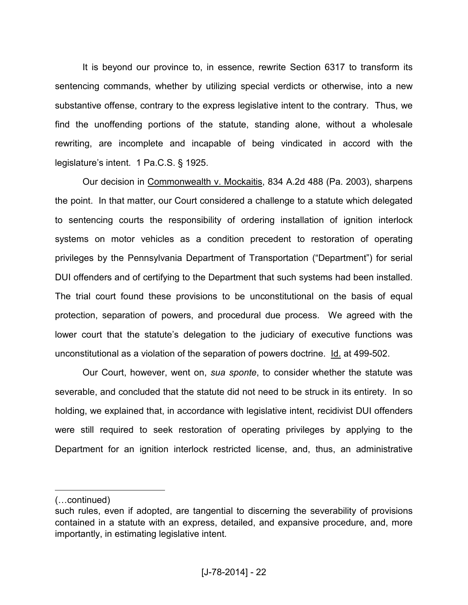It is beyond our province to, in essence, rewrite Section 6317 to transform its sentencing commands, whether by utilizing special verdicts or otherwise, into a new substantive offense, contrary to the express legislative intent to the contrary. Thus, we find the unoffending portions of the statute, standing alone, without a wholesale rewriting, are incomplete and incapable of being vindicated in accord with the legislature's intent. 1 Pa.C.S. § 1925.

Our decision in Commonwealth v. Mockaitis, 834 A.2d 488 (Pa. 2003), sharpens the point. In that matter, our Court considered a challenge to a statute which delegated to sentencing courts the responsibility of ordering installation of ignition interlock systems on motor vehicles as a condition precedent to restoration of operating privileges by the Pennsylvania Department of Transportation ("Department") for serial DUI offenders and of certifying to the Department that such systems had been installed. The trial court found these provisions to be unconstitutional on the basis of equal protection, separation of powers, and procedural due process. We agreed with the lower court that the statute's delegation to the judiciary of executive functions was unconstitutional as a violation of the separation of powers doctrine. Id. at 499-502.

Our Court, however, went on, *sua sponte*, to consider whether the statute was severable, and concluded that the statute did not need to be struck in its entirety. In so holding, we explained that, in accordance with legislative intent, recidivist DUI offenders were still required to seek restoration of operating privileges by applying to the Department for an ignition interlock restricted license, and, thus, an administrative

<sup>(...</sup>continued)

such rules, even if adopted, are tangential to discerning the severability of provisions contained in a statute with an express, detailed, and expansive procedure, and, more importantly, in estimating legislative intent.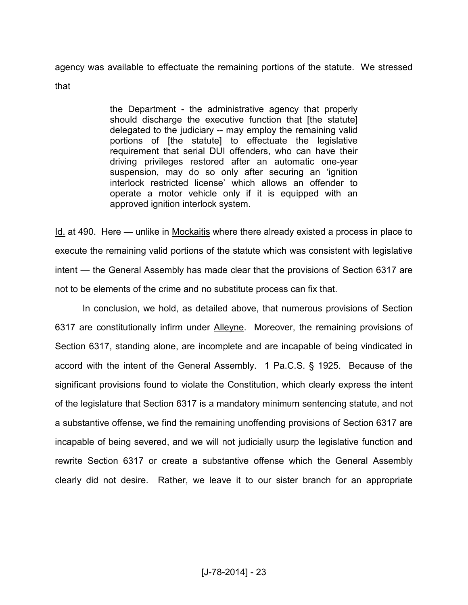agency was available to effectuate the remaining portions of the statute. We stressed that

> the Department - the administrative agency that properly should discharge the executive function that [the statute] delegated to the judiciary -- may employ the remaining valid portions of [the statute] to effectuate the legislative requirement that serial DUI offenders, who can have their driving privileges restored after an automatic one-year suspension, may do so only after securing an 'ignition interlock restricted license' which allows an offender to operate a motor vehicle only if it is equipped with an approved ignition interlock system.

Id. at 490. Here — unlike in Mockaitis where there already existed a process in place to execute the remaining valid portions of the statute which was consistent with legislative intent — the General Assembly has made clear that the provisions of Section 6317 are not to be elements of the crime and no substitute process can fix that.

In conclusion, we hold, as detailed above, that numerous provisions of Section 6317 are constitutionally infirm under Alleyne. Moreover, the remaining provisions of Section 6317, standing alone, are incomplete and are incapable of being vindicated in accord with the intent of the General Assembly. 1 Pa.C.S. § 1925. Because of the significant provisions found to violate the Constitution, which clearly express the intent of the legislature that Section 6317 is a mandatory minimum sentencing statute, and not a substantive offense, we find the remaining unoffending provisions of Section 6317 are incapable of being severed, and we will not judicially usurp the legislative function and rewrite Section 6317 or create a substantive offense which the General Assembly clearly did not desire. Rather, we leave it to our sister branch for an appropriate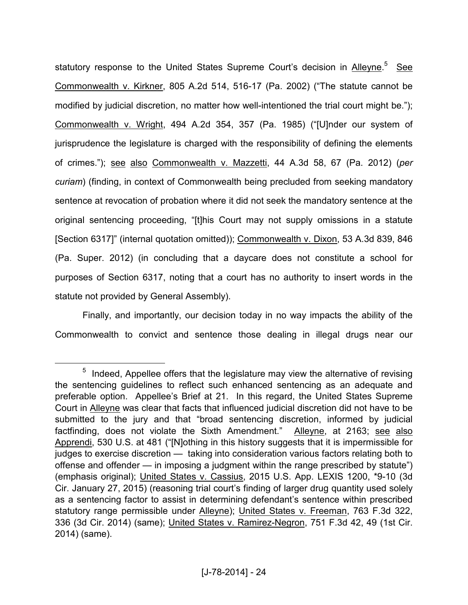statutory response to the United States Supreme Court's decision in Alleyne.<sup>5</sup> See Commonwealth v. Kirkner, 805 A.2d 514, 516-17 (Pa. 2002) ("The statute cannot be modified by judicial discretion, no matter how well-intentioned the trial court might be."); Commonwealth v. Wright, 494 A.2d 354, 357 (Pa. 1985) ("[U]nder our system of jurisprudence the legislature is charged with the responsibility of defining the elements of crimes."); see also Commonwealth v. Mazzetti, 44 A.3d 58, 67 (Pa. 2012) (*per curiam*) (finding, in context of Commonwealth being precluded from seeking mandatory sentence at revocation of probation where it did not seek the mandatory sentence at the original sentencing proceeding, "[t]his Court may not supply omissions in a statute [Section 6317]" (internal quotation omitted)); Commonwealth v. Dixon, 53 A.3d 839, 846 (Pa. Super. 2012) (in concluding that a daycare does not constitute a school for purposes of Section 6317, noting that a court has no authority to insert words in the statute not provided by General Assembly).

Finally, and importantly, our decision today in no way impacts the ability of the Commonwealth to convict and sentence those dealing in illegal drugs near our

 $<sup>5</sup>$  Indeed, Appellee offers that the legislature may view the alternative of revising</sup> the sentencing guidelines to reflect such enhanced sentencing as an adequate and preferable option. Appellee's Brief at 21. In this regard, the United States Supreme Court in Alleyne was clear that facts that influenced judicial discretion did not have to be submitted to the jury and that "broad sentencing discretion, informed by judicial factfinding, does not violate the Sixth Amendment." Alleyne, at 2163; see also Apprendi, 530 U.S. at 481 ("[N]othing in this history suggests that it is impermissible for judges to exercise discretion — taking into consideration various factors relating both to offense and offender — in imposing a judgment within the range prescribed by statute") (emphasis original); United States v. Cassius, 2015 U.S. App. LEXIS 1200, \*9-10 (3d Cir. January 27, 2015) (reasoning trial court's finding of larger drug quantity used solely as a sentencing factor to assist in determining defendant's sentence within prescribed statutory range permissible under Alleyne); United States v. Freeman, 763 F.3d 322, 336 (3d Cir. 2014) (same); United States v. Ramirez-Negron, 751 F.3d 42, 49 (1st Cir. 2014) (same).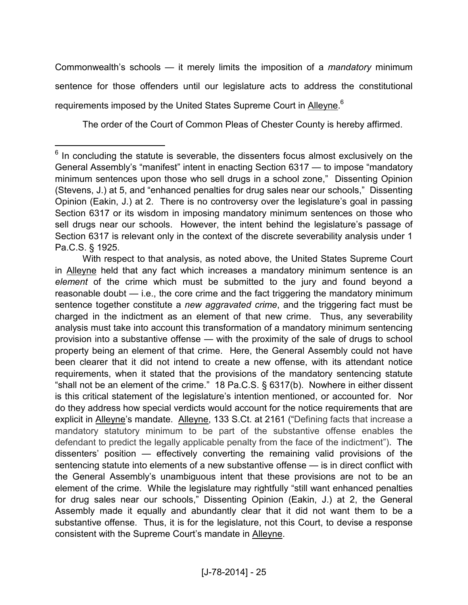Commonwealth's schools — it merely limits the imposition of a *mandatory* minimum sentence for those offenders until our legislature acts to address the constitutional requirements imposed by the United States Supreme Court in Alleyne.<sup>6</sup>

The order of the Court of Common Pleas of Chester County is hereby affirmed.

 $<sup>6</sup>$  In concluding the statute is severable, the dissenters focus almost exclusively on the</sup> General Assembly's "manifest" intent in enacting Section 6317 — to impose "mandatory minimum sentences upon those who sell drugs in a school zone," Dissenting Opinion (Stevens, J.) at 5, and "enhanced penalties for drug sales near our schools," Dissenting Opinion (Eakin, J.) at 2. There is no controversy over the legislature's goal in passing Section 6317 or its wisdom in imposing mandatory minimum sentences on those who sell drugs near our schools. However, the intent behind the legislature's passage of Section 6317 is relevant only in the context of the discrete severability analysis under 1 Pa.C.S. § 1925.

With respect to that analysis, as noted above, the United States Supreme Court in Alleyne held that any fact which increases a mandatory minimum sentence is an *element* of the crime which must be submitted to the jury and found beyond a reasonable doubt — i.e., the core crime and the fact triggering the mandatory minimum sentence together constitute a *new aggravated crime*, and the triggering fact must be charged in the indictment as an element of that new crime. Thus, any severability analysis must take into account this transformation of a mandatory minimum sentencing provision into a substantive offense — with the proximity of the sale of drugs to school property being an element of that crime. Here, the General Assembly could not have been clearer that it did not intend to create a new offense, with its attendant notice requirements, when it stated that the provisions of the mandatory sentencing statute "shall not be an element of the crime." 18 Pa.C.S. § 6317(b). Nowhere in either dissent is this critical statement of the legislature's intention mentioned, or accounted for. Nor do they address how special verdicts would account for the notice requirements that are explicit in Alleyne's mandate. Alleyne, 133 S.Ct. at 2161 ("Defining facts that increase a mandatory statutory minimum to be part of the substantive offense enables the defendant to predict the legally applicable penalty from the face of the indictment"). The dissenters' position — effectively converting the remaining valid provisions of the sentencing statute into elements of a new substantive offense — is in direct conflict with the General Assembly's unambiguous intent that these provisions are not to be an element of the crime. While the legislature may rightfully "still want enhanced penalties for drug sales near our schools," Dissenting Opinion (Eakin, J.) at 2, the General Assembly made it equally and abundantly clear that it did not want them to be a substantive offense. Thus, it is for the legislature, not this Court, to devise a response consistent with the Supreme Court's mandate in Alleyne.